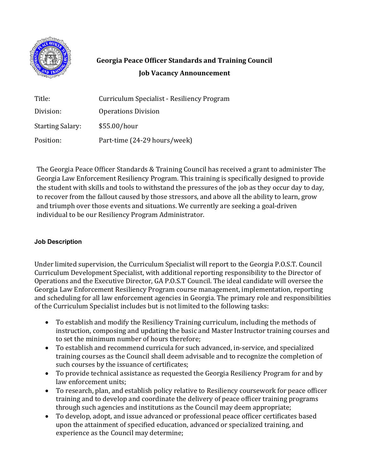

## **Georgia Peace Officer Standards and Training Council Job Vacancy Announcement**

| Title:                  | Curriculum Specialist - Resiliency Program |
|-------------------------|--------------------------------------------|
| Division:               | <b>Operations Division</b>                 |
| <b>Starting Salary:</b> | \$55.00/hour                               |
| Position:               | Part-time (24-29 hours/week)               |

The Georgia Peace Officer Standards & Training Council has received a grant to administer The Georgia Law Enforcement Resiliency Program. This training is specifically designed to provide the student with skills and tools to withstand the pressures of the job as they occur day to day, to recover from the fallout caused by those stressors, and above all the ability to learn, grow and triumph over those events and situations. We currently are seeking a goal-driven individual to be our Resiliency Program Administrator.

## **Job Description**

Under limited supervision, the Curriculum Specialist will report to the Georgia P.O.S.T. Council Curriculum Development Specialist, with additional reporting responsibility to the Director of Operations and the Executive Director, GA P.O.S.T Council. The ideal candidate will oversee the Georgia Law Enforcement Resiliency Program course management, implementation, reporting and scheduling for all law enforcement agencies in Georgia. The primary role and responsibilities of the Curriculum Specialist includes but is not limited to the following tasks:

- To establish and modify the Resiliency Training curriculum, including the methods of instruction, composing and updating the basic and Master Instructor training courses and to set the minimum number of hours therefore;
- To establish and recommend curricula for such advanced, in-service, and specialized training courses as the Council shall deem advisable and to recognize the completion of such courses by the issuance of certificates;
- To provide technical assistance as requested the Georgia Resiliency Program for and by law enforcement units;
- To research, plan, and establish policy relative to Resiliency coursework for peace officer training and to develop and coordinate the delivery of peace officer training programs through such agencies and institutions as the Council may deem appropriate;
- To develop, adopt, and issue advanced or professional peace officer certificates based upon the attainment of specified education, advanced or specialized training, and experience as the Council may determine;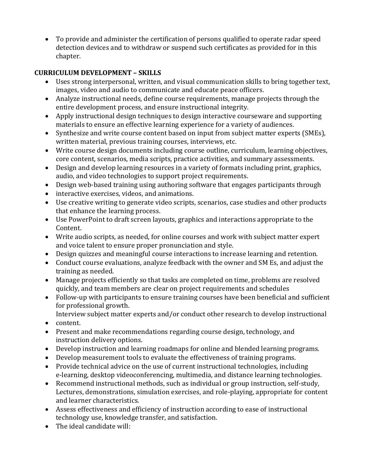• To provide and administer the certification of persons qualified to operate radar speed detection devices and to withdraw or suspend such certificates as provided for in this chapter.

## **CURRICULUM DEVELOPMENT – SKILLS**

- Uses strong interpersonal, written, and visual communication skills to bring together text, images, video and audio to communicate and educate peace officers.
- Analyze instructional needs, define course requirements, manage projects through the entire development process, and ensure instructional integrity.
- Apply instructional design techniques to design interactive courseware and supporting materials to ensure an effective learning experience for a variety of audiences.
- Synthesize and write course content based on input from subject matter experts (SMEs), written material, previous training courses, interviews, etc.
- Write course design documents including course outline, curriculum, learning objectives, core content, scenarios, media scripts, practice activities, and summary assessments.
- Design and develop learning resources in a variety of formats including print, graphics, audio, and video technologies to support project requirements.
- Design web-based training using authoring software that engages participants through
- interactive exercises, videos, and animations.
- Use creative writing to generate video scripts, scenarios, case studies and other products that enhance the learning process.
- Use PowerPoint to draft screen layouts, graphics and interactions appropriate to the Content.
- Write audio scripts, as needed, for online courses and work with subject matter expert and voice talent to ensure proper pronunciation and style.
- Design quizzes and meaningful course interactions to increase learning and retention.
- Conduct course evaluations, analyze feedback with the owner and SM Es, and adjust the training as needed.
- Manage projects efficiently so that tasks are completed on time, problems are resolved quickly, and team members are clear on project requirements and schedules
- Follow-up with participants to ensure training courses have been beneficial and sufficient for professional growth.

Interview subject matter experts and/or conduct other research to develop instructional

- content.
- Present and make recommendations regarding course design, technology, and instruction delivery options.
- Develop instruction and learning roadmaps for online and blended learning programs.
- Develop measurement tools to evaluate the effectiveness of training programs.
- Provide technical advice on the use of current instructional technologies, including e-learning, desktop videoconferencing, multimedia, and distance learning technologies.
- Recommend instructional methods, such as individual or group instruction, self-study, Lectures, demonstrations, simulation exercises, and role-playing, appropriate for content and learner characteristics.
- Assess effectiveness and efficiency of instruction according to ease of instructional technology use, knowledge transfer, and satisfaction.
- The ideal candidate will: